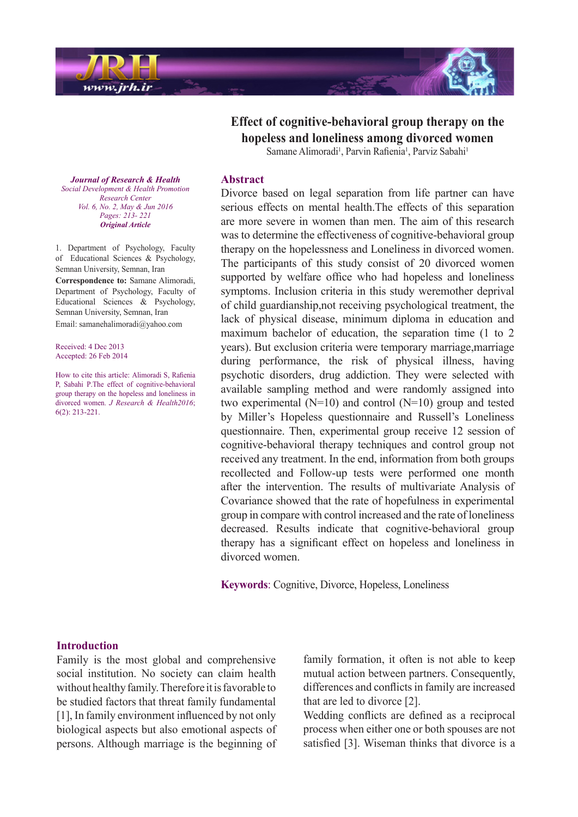

*Journal of Research & Health Promotion Health & Development Social Center Research Vol. 6, No. 2, May & Jun 2016 Pages: 213- 221 Article Original*

1. Department of Psychology, Faculty of Educational Sciences  $&$  Psychology, Semnan University, Semnan, Iran

**Correspondence to: Samane Alimoradi,** Department of Psychology, Faculty of Educational Sciences  $\&$  Psychology, Semnan University, Semnan, Iran Email: samanehalimoradi $@y$ ahoo.com

Received: 4 Dec 2013 Accepted: 26 Feb 2014

How to cite this article: Alimoradi S, Rafienia P, Sabahi P.The effect of cognitive-behavioral group therapy on the hopeless and loneliness in divorced women. *J Research & Health2016*:  $6(2)$ : 213-221.

**Effect of cognitive-behavioral group therapy on the** hopeless and loneliness among divorced women

Samane Alimoradi<sup>1</sup>, Parvin Rafienia<sup>1</sup>, Parviz Sabahi<sup>1</sup>

#### **Abstract**

Divorce based on legal separation from life partner can have serious effects on mental health. The effects of this separation are more severe in women than men. The aim of this research was to determine the effectiveness of cognitive-behavioral group therapy on the hopelessness and Loneliness in divorced women. The participants of this study consist of 20 divorced women supported by welfare office who had hopeless and loneliness symptoms. Inclusion criteria in this study weremother deprival of child guardianship, not receiving psychological treatment, the lack of physical disease, minimum diploma in education and maximum bachelor of education, the separation time  $(1 \text{ to } 2)$ years). But exclusion criteria were temporary marriage, marriage during performance, the risk of physical illness, having psychotic disorders, drug addiction. They were selected with available sampling method and were randomly assigned into two experimental ( $N=10$ ) and control ( $N=10$ ) group and tested by Miller's Hopeless questionnaire and Russell's Loneliness questionnaire. Then, experimental group receive 12 session of cognitive-behavioral therapy techniques and control group not received any treatment. In the end, information from both groups recollected and Follow-up tests were performed one month after the intervention. The results of multivariate Analysis of Covariance showed that the rate of hopefulness in experimental group in compare with control increased and the rate of loneliness decreased. Results indicate that cognitive-behavioral group therapy has a significant effect on hopeless and loneliness in divorced women

**Keywords:** Cognitive, Divorce, Hopeless, Loneliness

#### **Introduction**

Family is the most global and comprehensive social institution. No society can claim health without healthy family. Therefore it is favorable to be studied factors that threat family fundamental  $[1]$ , In family environment influenced by not only biological aspects but also emotional aspects of persons. Although marriage is the beginning of

family formation, it often is not able to keep mutual action between partners. Consequently, differences and conflicts in family are increased that are led to divorce  $[2]$ .

Wedding conflicts are defined as a reciprocal process when either one or both spouses are not satisfied [3]. Wiseman thinks that divorce is a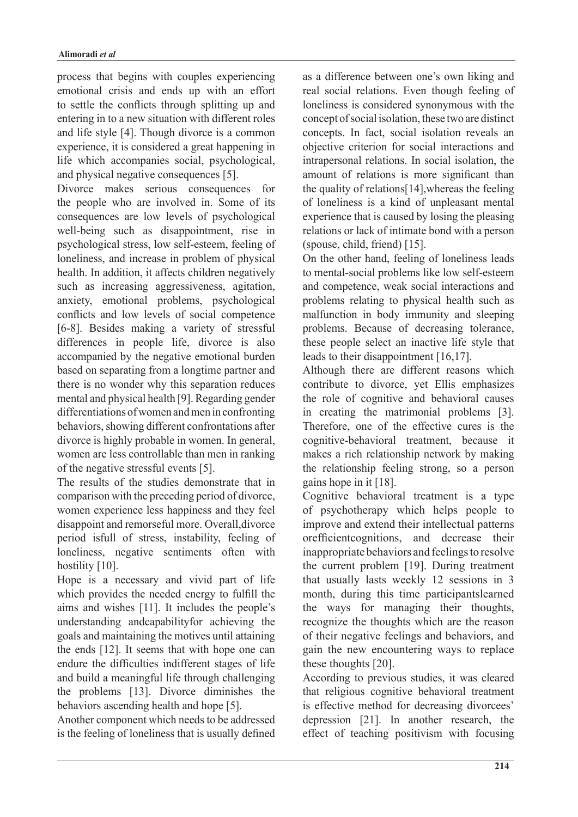process that begins with couples experiencing emotional crisis and ends up with an effort to settle the conflicts through splitting up and entering in to a new situation with different roles and life style [4]. Though divorce is a common experience, it is considered a great happening in life which accompanies social, psychological, and physical negative consequences [5].

Divorce makes serious consequences for the people who are involved in. Some of its consequences are low levels of psychological well-being such as disappointment, rise in psychological stress, low self-esteem, feeling of loneliness, and increase in problem of physical health. In addition, it affects children negatively such as increasing aggressiveness, agitation, anxiety, emotional problems, psychological conflicts and low levels of social competence  $[6-8]$ . Besides making a variety of stressful differences in people life, divorce is also accompanied by the negative emotional burden based on separating from a longtime partner and there is no wonder why this separation reduces mental and physical health [9]. Regarding gender differentiations of women and men in confronting behaviors, showing different confrontations after divorce is highly probable in women. In general, women are less controllable than men in ranking % of the negative stressful events  $[5]$ .

The results of the studies demonstrate that in comparison with the preceding period of divorce, women experience less happiness and they feel disappoint and remorseful more. Overall, divorce period isfull of stress, instability, feeling of loneliness, negative sentiments often with hostility [10].

Hope is a necessary and vivid part of life which provides the needed energy to fulfill the aims and wishes [11]. It includes the people's understanding andcapabilityfor achieving the goals and maintaining the motives until attaining the ends  $[12]$ . It seems that with hope one can endure the difficulties indifferent stages of life and build a meaningful life through challenging the problems  $[13]$ . Divorce diminishes the behaviors ascending health and hope [5].

Another component which needs to be addressed is the feeling of loneliness that is usually defined as a difference between one's own liking and real social relations. Even though feeling of loneliness is considered synonymous with the concept of social isolation, these two are distinct concepts. In fact, social isolation reveals an objective criterion for social interactions and intrapersonal relations. In social isolation, the amount of relations is more significant than the quality of relations  $[14]$ , whereas the feeling of loneliness is a kind of unpleasant mental experience that is caused by losing the pleasing relations or lack of intimate bond with a person  $(spouse, child, friend)$  [15].

On the other hand, feeling of loneliness leads to mental-social problems like low self-esteem and competence, weak social interactions and problems relating to physical health such as malfunction in body immunity and sleeping problems. Because of decreasing tolerance, these people select an inactive life style that leads to their disappointment  $[16,17]$ .

Although there are different reasons which contribute to divorce, yet Ellis emphasizes the role of cognitive and behavioral causes in creating the matrimonial problems [3]. Therefore, one of the effective cures is the cognitive-behavioral treatment, because it makes a rich relationship network by making the relationship feeling strong, so a person gains hope in it  $[18]$ .

Cognitive behavioral treatment is a type of psychotherapy which helps people to improve and extend their intellectual patterns orefficientcognitions, and decrease their inappropriate behaviors and feelings to resolve the current problem [19]. During treatment that usually lasts weekly  $12$  sessions in  $3$ month, during this time participantslearned the ways for managing their thoughts, recognize the thoughts which are the reason of their negative feelings and behaviors, and gain the new encountering ways to replace these thoughts [20].

According to previous studies, it was cleared that religious cognitive behavioral treatment is effective method for decreasing divorcees' depression  $[21]$ . In another research, the effect of teaching positivism with focusing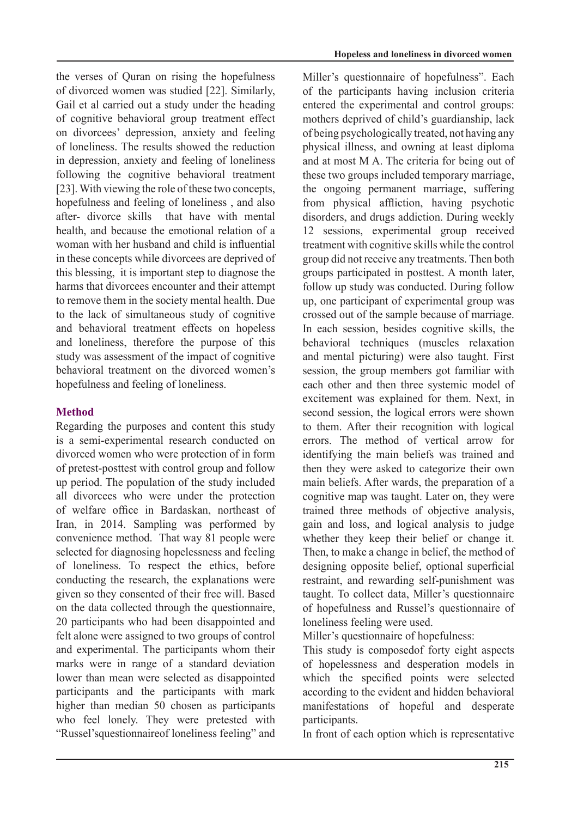the verses of Quran on rising the hopefulness of divorced women was studied [22]. Similarly, Gail et al carried out a study under the heading of cognitive behavioral group treatment effect on divorcees' depression, anxiety and feeling of loneliness. The results showed the reduction in depression, anxiety and feeling of loneliness following the cognitive behavioral treatment [23]. With viewing the role of these two concepts, hopefulness and feeling of loneliness, and also after- divorce skills that have with mental health, and because the emotional relation of a woman with her husband and child is influential in these concepts while divorcees are deprived of this blessing, it is important step to diagnose the harms that divorcees encounter and their attempt to remove them in the society mental health. Due to the lack of simultaneous study of cognitive and behavioral treatment effects on hopeless and loneliness, therefore the purpose of this study was assessment of the impact of cognitive behavioral treatment on the divorced women's hopefulness and feeling of loneliness.

# **Method**

Regarding the purposes and content this study is a semi-experimental research conducted on divorced women who were protection of in form of pretest-posttest with control group and follow up period. The population of the study included all divorcees who were under the protection of welfare office in Bardaskan, northeast of Iran, in 2014. Sampling was performed by convenience method. That way 81 people were selected for diagnosing hopelessness and feeling of loneliness. To respect the ethics, before conducting the research, the explanations were given so they consented of their free will. Based on the data collected through the questionnaire, 20 participants who had been disappointed and felt alone were assigned to two groups of control and experimental. The participants whom their marks were in range of a standard deviation lower than mean were selected as disappointed participants and the participants with mark higher than median 50 chosen as participants who feel lonely. They were pretested with "Russel'squestionnaireof loneliness feeling" and Miller's questionnaire of hopefulness". Each of the participants having inclusion criteria entered the experimental and control groups: mothers deprived of child's guardianship, lack of being psychologically treated, not having any physical illness, and owning at least diploma and at most M A. The criteria for being out of these two groups included temporary marriage. the ongoing permanent marriage, suffering from physical affliction, having psychotic disorders, and drugs addiction. During weekly 12 sessions, experimental group received treatment with cognitive skills while the control group did not receive any treatments. Then both groups participated in posttest. A month later, follow up study was conducted. During follow up, one participant of experimental group was crossed out of the sample because of marriage. In each session, besides cognitive skills, the behavioral techniques (muscles relaxation and mental picturing) were also taught. First session, the group members got familiar with each other and then three systemic model of excitement was explained for them. Next, in second session, the logical errors were shown to them. After their recognition with logical errors. The method of vertical arrow for identifying the main beliefs was trained and then they were asked to categorize their own main beliefs. After wards, the preparation of a cognitive map was taught. Later on, they were trained three methods of objective analysis, gain and loss, and logical analysis to judge whether they keep their belief or change it. Then, to make a change in belief, the method of designing opposite belief, optional superficial restraint, and rewarding self-punishment was taught. To collect data, Miller's questionnaire of hopefulness and Russel's questionnaire of loneliness feeling were used.

Miller's questionnaire of hopefulness:

This study is composedof forty eight aspects of hopelessness and desperation models in which the specified points were selected according to the evident and hidden behavioral manifestations of hopeful and desperate participants.

In front of each option which is representative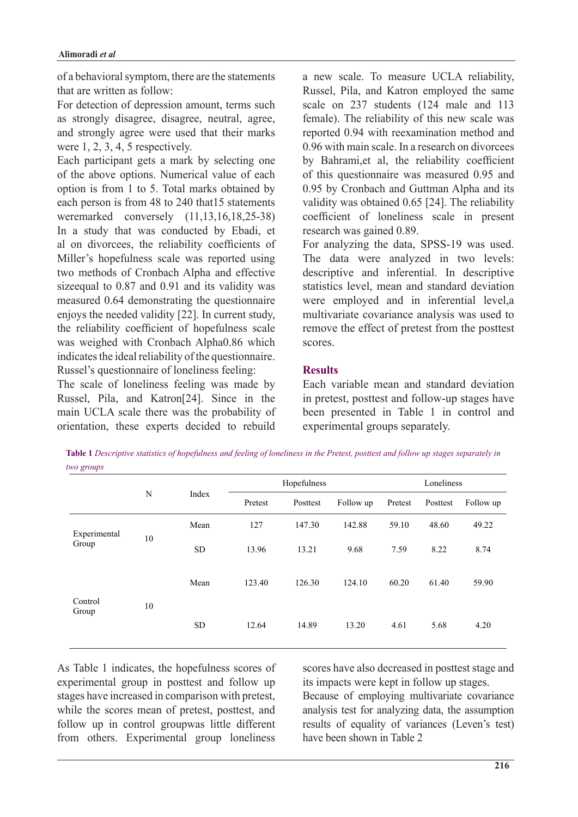of a behavioral symptom, there are the statements that are written as follow:

For detection of depression amount, terms such as strongly disagree, disagree, neutral, agree, and strongly agree were used that their marks were  $1, 2, 3, 4, 5$  respectively.

Each participant gets a mark by selecting one of the above options. Numerical value of each option is from  $\overline{1}$  to 5. Total marks obtained by each person is from 48 to 240 that 15 statements were marked conversely  $(11, 13, 16, 18, 25-38)$ In a study that was conducted by Ebadi, et al on divorcees, the reliability coefficients of Miller's hopefulness scale was reported using two methods of Cronbach Alpha and effective sizeequal to  $0.87$  and  $0.91$  and its validity was measured 0.64 demonstrating the questionnaire enjoys the needed validity  $[22]$ . In current study, the reliability coefficient of hopefulness scale was weighed with Cronbach Alpha0.86 which indicates the ideal reliability of the questionnaire. Russel's questionnaire of loneliness feeling:

The scale of loneliness feeling was made by Russel, Pila, and Katron [24]. Since in the main UCLA scale there was the probability of orientation, these experts decided to rebuild a new scale. To measure UCLA reliability, Russel, Pila, and Katron employed the same scale on  $237$  students  $(124 \text{ male and } 113)$ female). The reliability of this new scale was reported 0.94 with reexamination method and  $0.96$  with main scale. In a research on divorcees by Bahrami et al, the reliability coefficient of this questionnaire was measured 0.95 and 0.95 by Cronbach and Guttman Alpha and its validity was obtained  $0.65$  [24]. The reliability coefficient of loneliness scale in present research was gained 0.89.

For analyzing the data, SPSS-19 was used. The data were analyzed in two levels: descriptive and inferential. In descriptive statistics level, mean and standard deviation were employed and in inferential level,a multivariate covariance analysis was used to remove the effect of pretest from the posttest scores.

## **Results**

Each variable mean and standard deviation in pretest, posttest and follow-up stages have been presented in Table 1 in control and experimental groups separately.

**Table 1** Descriptive statistics of hopefulness and feeling of loneliness in the Pretest, posttest and follow up stages separately in *groups two*

|                       | N  | Index     |         | Hopefulness |           | Loneliness |          |           |
|-----------------------|----|-----------|---------|-------------|-----------|------------|----------|-----------|
|                       |    |           | Pretest | Posttest    | Follow up | Pretest    | Posttest | Follow up |
| Experimental<br>Group |    | Mean      | 127     | 147.30      | 142.88    | 59.10      | 48.60    | 49.22     |
|                       | 10 | <b>SD</b> | 13.96   | 13.21       | 9.68      | 7.59       | 8.22     | 8.74      |
| Control<br>Group      |    | Mean      | 123.40  | 126.30      | 124.10    | 60.20      | 61.40    | 59.90     |
|                       | 10 | <b>SD</b> | 12.64   | 14.89       | 13.20     | 4.61       | 5.68     | 4.20      |

As Table 1 indicates, the hopefulness scores of experimental group in posttest and follow up stages have increased in comparison with pretest, while the scores mean of pretest, posttest, and follow up in control groupwas little different from others. Experimental group loneliness

scores have also decreased in posttest stage and its impacts were kept in follow up stages.

Because of employing multivariate covariance analysis test for analyzing data, the assumption results of equality of variances (Leven's test) have been shown in Table 2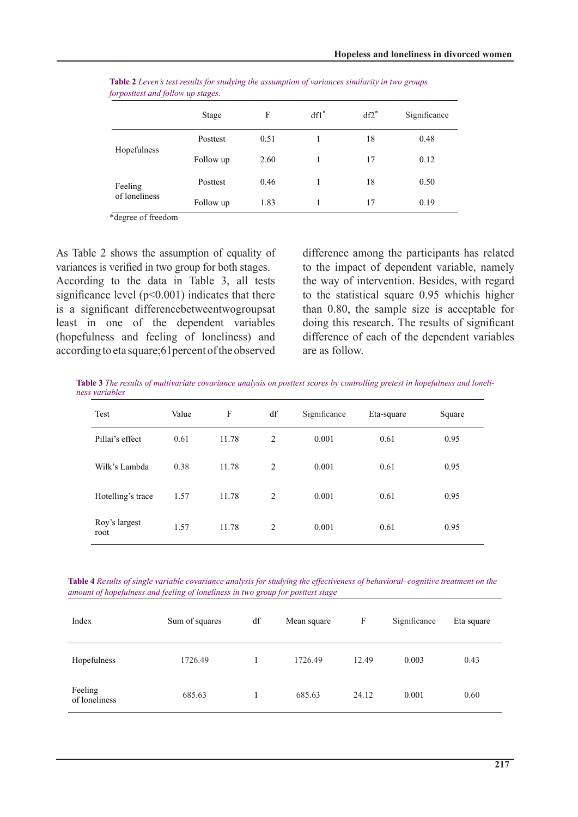|               | Stage     | F    | $df1^*$ | $df2^*$ | Significance |
|---------------|-----------|------|---------|---------|--------------|
|               | Posttest  | 0.51 |         | 18      | 0.48         |
| Hopefulness   | Follow up | 2.60 |         | 17      | 0.12         |
| Feeling       | Posttest  | 0.46 |         | 18      | 0.50         |
| of loneliness | Follow up | 1.83 |         | 17      | 0.19         |

*Table 2 Leven's test results for studying the assumption of variances similarity in two groups forposttest and follow up stages.* 

\*degree of freedom

As Table 2 shows the assumption of equality of variances is verified in two group for both stages. According to the data in Table  $3$ , all tests significance level ( $p$ <0.001) indicates that there is a significant differencebetweentwogroupsat least in one of the dependent variables (hopefulness and feeling of loneliness) and according to eta square; 61 percent of the observed

difference among the participants has related to the impact of dependent variable, namely the way of intervention. Besides, with regard to the statistical square 0.95 whichis higher than  $0.80$ , the sample size is acceptable for doing this research. The results of significant difference of each of the dependent variables are as follow

**Table 3** The results of multivariate covariance analysis on posttest scores by controlling pretest in hopefulness and loneli-<br>ness variables

| Test                  | Value | F     | df | Significance | Eta-square | Square |
|-----------------------|-------|-------|----|--------------|------------|--------|
| Pillai's effect       | 0.61  | 11.78 | 2  | 0.001        | 0.61       | 0.95   |
| Wilk's Lambda         | 0.38  | 11.78 | 2  | 0.001        | 0.61       | 0.95   |
| Hotelling's trace     | 1.57  | 11.78 | 2  | 0.001        | 0.61       | 0.95   |
| Roy's largest<br>root | 1.57  | 11.78 | 2  | 0.001        | 0.61       | 0.95   |

Table 4 Results of single variable covariance analysis for studying the effectiveness of behavioral-cognitive treatment on the amount of hopefulness and feeling of loneliness in two group for posttest stage

| Index                    | Sum of squares | df | Mean square | F     | Significance | Eta square |
|--------------------------|----------------|----|-------------|-------|--------------|------------|
| Hopefulness              | 1726.49        |    | 1726.49     | 12.49 | 0.003        | 0.43       |
| Feeling<br>of loneliness | 685.63         |    | 685.63      | 24.12 | 0.001        | 0.60       |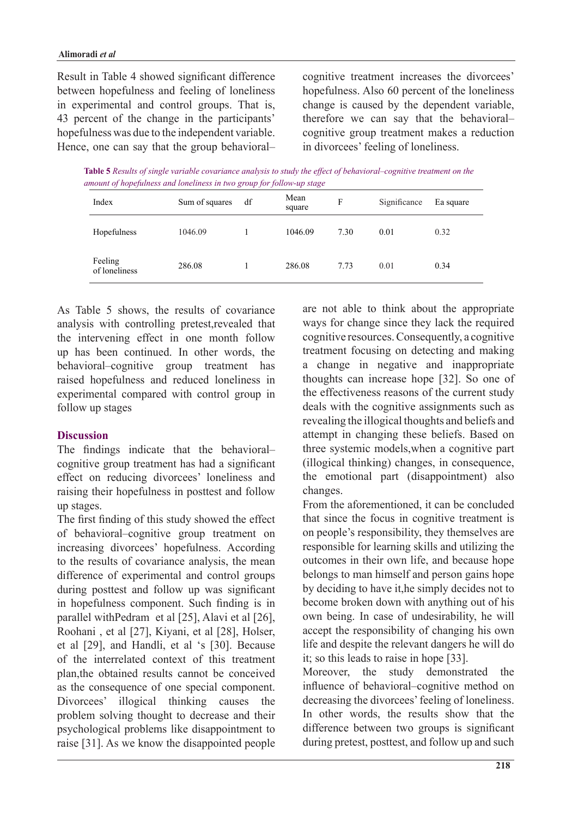Result in Table 4 showed significant difference between hopefulness and feeling of loneliness in experimental and control groups. That is, 43 percent of the change in the participants' hopefulness was due to the independent variable. Hence, one can say that the group behavioralcognitive treatment increases the divorcees' hopefulness. Also 60 percent of the loneliness change is caused by the dependent variable, therefore we can say that the behavioralcognitive group treatment makes a reduction in divorcees' feeling of loneliness.

*Table 5 Results of single variable covariance analysis to study the effect of behavioral–cognitive treatment on the amount of hopefulness and loneliness in two group for follow-up stage* 

| Index                    | Sum of squares | df | Mean<br>square | F    | Significance | Ea square |
|--------------------------|----------------|----|----------------|------|--------------|-----------|
| Hopefulness              | 1046.09        |    | 1046.09        | 7.30 | 0.01         | 0.32      |
| Feeling<br>of loneliness | 286.08         |    | 286.08         | 7.73 | 0.01         | 0.34      |

As Table 5 shows, the results of covariance analysis with controlling pretest, revealed that the intervening effect in one month follow up has been continued. In other words, the behavioral–cognitive group treatment has raised hopefulness and reduced loneliness in experimental compared with control group in follow up stages

#### **Discussion**

The findings indicate that the behavioralcognitive group treatment has had a significant effect on reducing divorcees' loneliness and raising their hopefulness in posttest and follow up stages.

The first finding of this study showed the effect of behavioral–cognitive group treatment on increasing divorcees' hopefulness. According to the results of covariance analysis, the mean difference of experimental and control groups during posttest and follow up was significant in hopefulness component. Such finding is in parallel withPedram et al  $[25]$ , Alavi et al  $[26]$ , Roohani, et al [27], Kiyani, et al [28], Holser, et al [29], and Handli, et al 's [30]. Because of the interrelated context of this treatment plan, the obtained results cannot be conceived as the consequence of one special component. Divorcees' illogical thinking causes the problem solving thought to decrease and their psychological problems like disappointment to raise [31]. As we know the disappointed people

are not able to think about the appropriate ways for change since they lack the required cognitive resources. Consequently, a cognitive treatment focusing on detecting and making a change in negative and inappropriate thoughts can increase hope  $[32]$ . So one of the effectiveness reasons of the current study deals with the cognitive assignments such as revealing the illogical thoughts and beliefs and attempt in changing these beliefs. Based on three systemic models when a cognitive part  $(iillogical thinking) changes, in consequence,$ the emotional part (disappointment) also .changes

From the aforementioned, it can be concluded that since the focus in cognitive treatment is on people's responsibility, they themselves are responsible for learning skills and utilizing the outcomes in their own life, and because hope belongs to man himself and person gains hope by deciding to have it, he simply decides not to become broken down with anything out of his own being. In case of undesirability, he will accept the responsibility of changing his own life and despite the relevant dangers he will do it; so this leads to raise in hope  $[33]$ .

Moreover, the study demonstrated the influence of behavioral–cognitive method on decreasing the divorcees' feeling of loneliness. In other words, the results show that the difference between two groups is significant during pretest, posttest, and follow up and such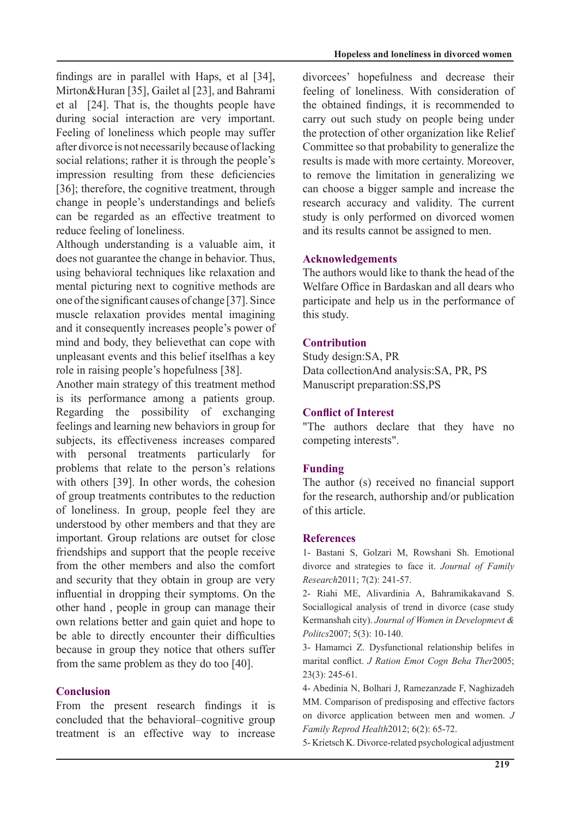findings are in parallel with Haps, et al  $[34]$ , Mirton&Huran [35], Gailet al [23], and Bahrami et al  $[24]$ . That is, the thoughts people have during social interaction are very important. Feeling of loneliness which people may suffer after divorce is not necessarily because of lacking social relations; rather it is through the people's impression resulting from these deficiencies [36]; therefore, the cognitive treatment, through change in people's understandings and beliefs can be regarded as an effective treatment to reduce feeling of loneliness.

Although understanding is a valuable aim, it does not guarantee the change in behavior. Thus, using behavioral techniques like relaxation and mental picturing next to cognitive methods are one of the significant causes of change [37]. Since muscle relaxation provides mental imagining and it consequently increases people's power of mind and body, they believethat can cope with unpleasant events and this belief itselfhas a key role in raising people's hopefulness [38].

Another main strategy of this treatment method is its performance among a patients group. Regarding the possibility of exchanging feelings and learning new behaviors in group for subjects, its effectiveness increases compared with personal treatments particularly for problems that relate to the person's relations with others [39]. In other words, the cohesion of group treatments contributes to the reduction of loneliness. In group, people feel they are understood by other members and that they are important. Group relations are outset for close friendships and support that the people receive from the other members and also the comfort and security that they obtain in group are very influential in dropping their symptoms. On the other hand, people in group can manage their own relations better and gain quiet and hope to be able to directly encounter their difficulties because in group they notice that others suffer from the same problem as they do too  $[40]$ .

#### **Conclusion**

From the present research findings it is concluded that the behavioral-cognitive group treatment is an effective way to increase divorcees' hopefulness and decrease their feeling of loneliness. With consideration of the obtained findings, it is recommended to carry out such study on people being under the protection of other organization like Relief Committee so that probability to generalize the results is made with more certainty. Moreover, to remove the limitation in generalizing we can choose a bigger sample and increase the research accuracy and validity. The current study is only performed on divorced women and its results cannot be assigned to men.

#### **Acknowledgements**

The authors would like to thank the head of the Welfare Office in Bardaskan and all dears who participate and help us in the performance of this study.

## **Contribution**

Study design: SA, PR Data collectionAnd analysis:SA, PR, PS Manuscript preparation: SS, PS

#### **Conflict of Interest**

"The authors declare that they have no competing interests".

#### **Funding**

The author  $(s)$  received no financial support for the research, authorship and/or publication of this article

#### **References**

1- Bastani S, Golzari M, Rowshani Sh. Emotional divorce and strategies to face it. Journal of Family Research2011; 7(2): 241-57.

2- Riahi ME, Alivardinia A, Bahramikakavand S. Sociallogical analysis of trend in divorce (case study Kermanshah city). Journal of Women in Developmevt & Politcs2007; 5(3): 10-140.

3- Hamamci Z. Dysfunctional relationship belifes in marital conflict. J Ration Emot Cogn Beha Ther2005;  $23(3): 245-61.$ 

4- Abedinia N, Bolhari J, Ramezanzade F, Naghizadeh MM. Comparison of predisposing and effective factors on divorce application between men and women. J Family Reprod Health 2012; 6(2): 65-72.

5- Krietsch K. Divorce-related psychological adjustment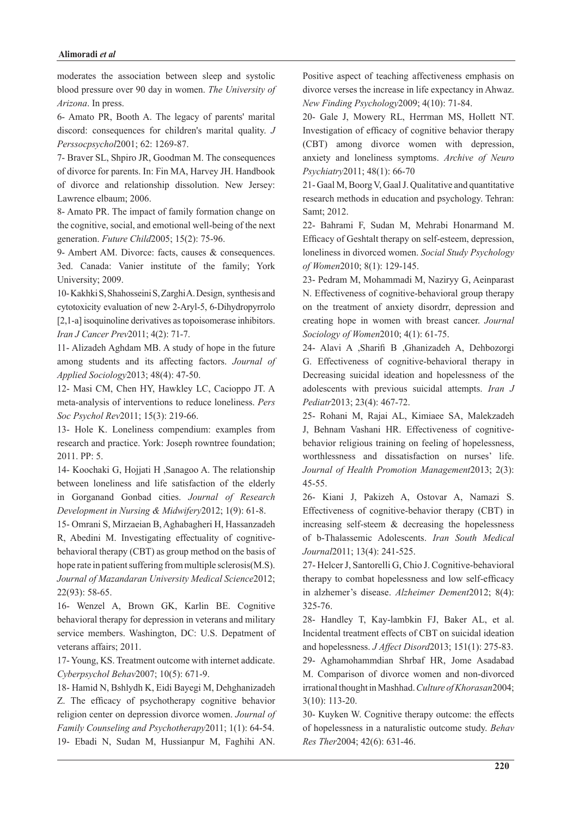moderates the association between sleep and systolic blood pressure over 90 day in women. The University of  $Arizona$ . In press.

6- Amato PR, Booth A. The legacy of parents' marital discord: consequences for children's marital quality. J Perssocpsychol<sup>2001</sup>; 62: 1269-87.

7- Braver SL, Shpiro JR, Goodman M. The consequences of divorce for parents. In: Fin MA, Harvey JH. Handbook of divorce and relationship dissolution. New Jersey: Lawrence elbaum; 2006.

8- Amato PR. The impact of family formation change on the cognitive, social, and emotional well-being of the next generation. Future Child 2005; 15(2): 75-96.

9- Ambert AM. Divorce: facts, causes  $\&$  consequences. 3ed. Canada: Vanier institute of the family; York University; 2009.

10-Kakhki S, Shahosseini S, Zarghi A. Design, synthesis and cytotoxicity evaluation of new 2-Aryl-5, 6-Dihydropyrrolo  $[2,1-a]$  isoquinoline derivatives as topoisomerase inhibitors. Iran J Cancer Prev 2011; 4(2): 71-7.

11- Alizadeh Aghdam MB. A study of hope in the future among students and its affecting factors. Journal of Applied Sociology 2013; 48(4): 47-50.

12- Masi CM, Chen HY, Hawkley LC, Cacioppo JT, A *meta-analysis of interventions to reduce loneliness. Pers* Soc Psychol Rev2011; 15(3): 219-66.

13- Hole K. Loneliness compendium: examples from research and practice. York: Joseph rowntree foundation; 2011. PP: 5.

14- Koochaki G, Hojjati H ,Sanagoo A. The relationship between loneliness and life satisfaction of the elderly in Gorganand Gonbad cities. Journal of Research Development in Nursing & Midwifery 2012; 1(9): 61-8.

15- Omrani S, Mirzaeian B, Aghabagheri H, Hassanzadeh behavioral therapy  $(CBT)$  as group method on the basis of R, Abedini M. Investigating effectuality of cognitivehope rate in patient suffering from multiple sclerosis  $(M.S)$ . Journal of Mazandaran University Medical Science2012;  $22(93): 58-65.$ 

16- Wenzel A, Brown GK, Karlin BE. Cognitive behavioral therapy for depression in veterans and military service members. Washington, DC: U.S. Depatment of veterans affairs; 2011.

17-Young, KS. Treatment outcome with internet addicate. Cyberpsychol Behav 2007; 10(5): 671-9.

18- Hamid N, Bshlydh K, Eidi Bayegi M, Dehghanizadeh Z. The efficacy of psychotherapy cognitive behavior religion center on depression divorce women. Journal of Family Counseling and Psychotherapy 2011; 1(1): 64-54. 19- Ebadi N, Sudan M, Hussianpur M, Faghihi AN.

Positive aspect of teaching affectiveness emphasis on divorce verses the increase in life expectancy in Ahwaz. New Finding Psychology 2009: 4(10): 71-84.

20- Gale J, Mowery RL, Herrman MS, Hollett NT. Investigation of efficacy of cognitive behavior therapy  $(CBT)$  among divorce women with depression, anxiety and loneliness symptoms. Archive of Neuro Psychiatry2011; 48(1): 66-70

21- Gaal M, Boorg V, Gaal J. Qualitative and quantitative research methods in education and psychology. Tehran: Samt; 2012.

22- Bahrami F, Sudan M, Mehrabi Honarmand M. Efficacy of Geshtalt therapy on self-esteem, depression, *loneliness in divorced women. Social Study Psychology* of Women 2010; 8(1): 129-145.

23- Pedram M, Mohammadi M, Naziryy G, Aeinparast N. Effectiveness of cognitive-behavioral group therapy on the treatment of anxiety disordrr, depression and creating hope in women with breast cancer. Journal Sociology of Women 2010; 4(1): 61-75.

24- Alavi A ,Sharifi, B ,Ghanizadeh, A, Dehbozorgi G. Effectiveness of cognitive-behavioral therapy in Decreasing suicidal ideation and hopelessness of the adolescents with previous suicidal attempts. *Iran J* Pediatr2013; 23(4): 467-72.

25- Rohani M, Rajai AL, Kimiaee SA, Malekzadeh behavior religious training on feeling of hopelessness. J, Behnam Vashani HR. Effectiveness of cognitiveworthlessness and dissatisfaction on nurses' life. Journal of Health Promotion Management 2013; 2(3): 45-55.

26- Kiani J, Pakizeh A, Ostovar A, Namazi S. Effectiveness of cognitive-behavior therapy (CBT) in increasing self-steem  $\&$  decreasing the hopelessness of b-Thalassemic Adolescents. Iran South Medical Journal<sup>2011</sup>; 13(4): 241-525.

27- Helcer J, Santorelli G, Chio J. Cognitive-behavioral therapy to combat hopelessness and low self-efficacy in alzhemer's disease. Alzheimer Dement2012; 8(4): 325-76.

28- Handley T, Kay-lambkin FJ, Baker AL, et al. Incidental treatment effects of CBT on suicidal ideation and hopelessness. *J Affect Disord* 2013; 151(1): 275-83. 29- Aghamohammdian Shrbaf HR, Jome Asadabad M. Comparison of divorce women and non-divorced irrational thought in Mashhad. Culture of Khorasan2004;  $3(10): 113-20.$ 

30- Kuyken W. Cognitive therapy outcome: the effects of hopelessness in a naturalistic outcome study. Behav Res Ther 2004; 42(6): 631-46.